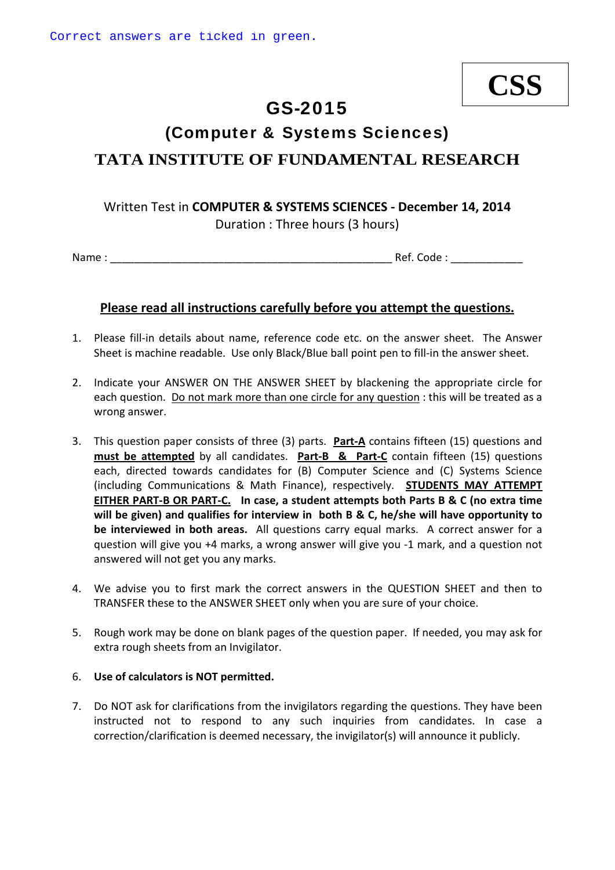# **CSS**

# GS-2015

# (Computer & Systems Sciences) **TATA INSTITUTE OF FUNDAMENTAL RESEARCH**

## Written Test in **COMPUTER & SYSTEMS SCIENCES ‐ December 14, 2014** Duration : Three hours (3 hours)

Name : \_\_\_\_\_\_\_\_\_\_\_\_\_\_\_\_\_\_\_\_\_\_\_\_\_\_\_\_\_\_\_\_\_\_\_\_\_\_\_\_\_\_\_\_\_\_\_ Ref. Code : \_\_\_\_\_\_\_\_\_\_\_\_

#### **Please read all instructions carefully before you attempt the questions.**

- 1. Please fill-in details about name, reference code etc. on the answer sheet. The Answer Sheet is machine readable. Use only Black/Blue ball point pen to fill-in the answer sheet.
- 2. Indicate your ANSWER ON THE ANSWER SHEET by blackening the appropriate circle for each question. Do not mark more than one circle for any question : this will be treated as a wrong answer.
- 3. This question paper consists of three (3) parts. **Part‐A** contains fifteen (15) questions and **must be attempted** by all candidates. **Part‐B & Part‐C** contain fifteen (15) questions each, directed towards candidates for (B) Computer Science and (C) Systems Science (including Communications & Math Finance), respectively. **STUDENTS MAY ATTEMPT** EITHER PART-B OR PART-C. In case, a student attempts both Parts B & C (no extra time **will be given) and qualifies for interview in both B & C, he/she will have opportunity to be interviewed in both areas.** All questions carry equal marks. A correct answer for a question will give you +4 marks, a wrong answer will give you ‐1 mark, and a question not answered will not get you any marks.
- 4. We advise you to first mark the correct answers in the QUESTION SHEET and then to TRANSFER these to the ANSWER SHEET only when you are sure of your choice.
- 5. Rough work may be done on blank pages of the question paper. If needed, you may ask for extra rough sheets from an Invigilator.

#### 6. **Use of calculators is NOT permitted.**

7. Do NOT ask for clarifications from the invigilators regarding the questions. They have been instructed not to respond to any such inquiries from candidates. In case a correction/clarification is deemed necessary, the invigilator(s) will announce it publicly.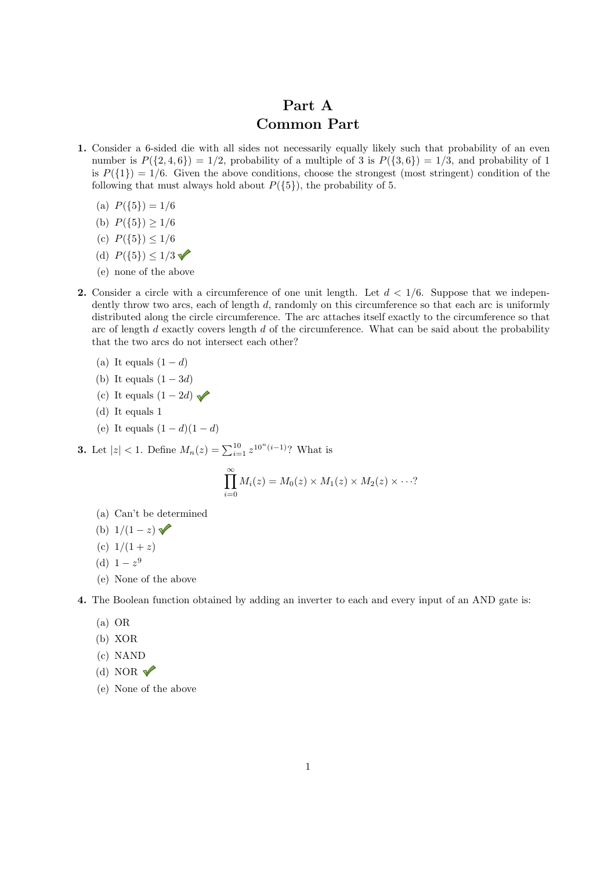# Part A Common Part

- 1. Consider a 6-sided die with all sides not necessarily equally likely such that probability of an even number is  $P({2, 4, 6}) = 1/2$ , probability of a multiple of 3 is  $P({3, 6}) = 1/3$ , and probability of 1 is  $P({1})=1/6$ . Given the above conditions, choose the strongest (most stringent) condition of the following that must always hold about  $P({5})$ , the probability of 5.
	- (a)  $P({5})=1/6$
	- (b)  $P({5}) > 1/6$
	- (c)  $P({5}) \le 1/6$
	- (d)  $P({5}) \le 1/3$
	- (e) none of the above
- 2. Consider a circle with a circumference of one unit length. Let *d <* 1*/*6. Suppose that we independently throw two arcs, each of length *d*, randomly on this circumference so that each arc is uniformly distributed along the circle circumference. The arc attaches itself exactly to the circumference so that arc of length *d* exactly covers length *d* of the circumference. What can be said about the probability that the two arcs do not intersect each other?
	- (a) It equals  $(1 d)$
	- (b) It equals  $(1 3d)$
	- (c) It equals  $(1 2d)$
	- (d) It equals 1
	- (e) It equals  $(1 d)(1 d)$

**3.** Let  $|z| < 1$ . Define  $M_n(z) = \sum_{i=1}^{10} z^{10^n(i-1)}$ ? What is

$$
\prod_{i=0}^{\infty} M_i(z) = M_0(z) \times M_1(z) \times M_2(z) \times \cdots?
$$

- (a) Can't be determined
- (b)  $1/(1-z)$
- (c)  $1/(1+z)$
- (d)  $1 z^9$
- (e) None of the above

4. The Boolean function obtained by adding an inverter to each and every input of an AND gate is:

- (a) OR
- (b) XOR
- (c) NAND
- (d) NOR  $\sqrt{\ }$
- (e) None of the above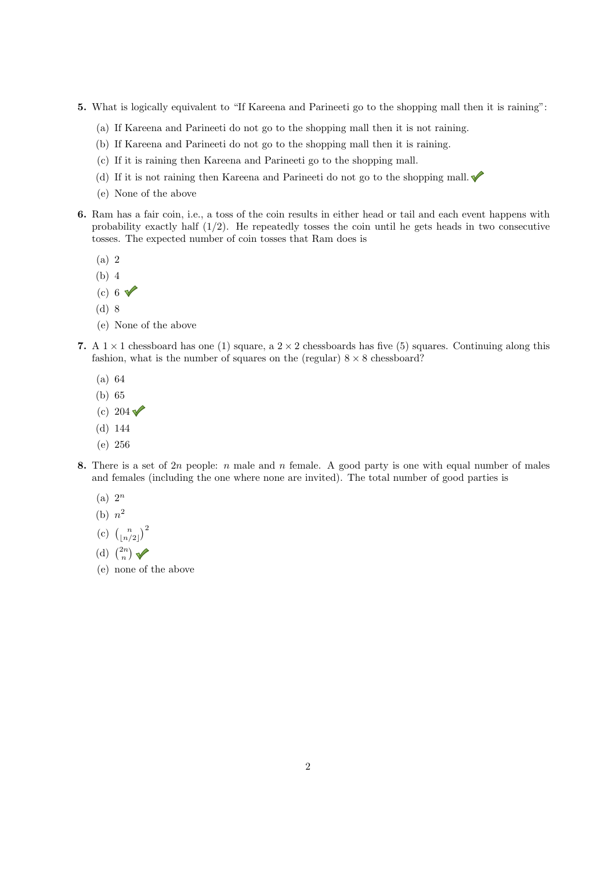- 5. What is logically equivalent to "If Kareena and Parineeti go to the shopping mall then it is raining":
	- (a) If Kareena and Parineeti do not go to the shopping mall then it is not raining.
	- (b) If Kareena and Parineeti do not go to the shopping mall then it is raining.
	- (c) If it is raining then Kareena and Parineeti go to the shopping mall.
	- (d) If it is not raining then Kareena and Parineeti do not go to the shopping mall.
	- (e) None of the above
- 6. Ram has a fair coin, i.e., a toss of the coin results in either head or tail and each event happens with probability exactly half  $(1/2)$ . He repeatedly tosses the coin until he gets heads in two consecutive tosses. The expected number of coin tosses that Ram does is
	- (a) 2
	- (b) 4
	- (c) 6  $\sqrt{ }$
	- (d) 8
	- (e) None of the above
- 7. A  $1 \times 1$  chessboard has one (1) square, a  $2 \times 2$  chessboards has five (5) squares. Continuing along this fashion, what is the number of squares on the (regular)  $8 \times 8$  chessboard?
	- (a) 64
	- (b) 65
	- (c)  $204 \sqrt{ }$
	- (d) 144
	- (e) 256
- 8. There is a set of 2*n* people: *n* male and *n* female. A good party is one with equal number of males and females (including the one where none are invited). The total number of good parties is
	- (a) 2*<sup>n</sup>*
	- (b)  $n^2$
	- (c)  $\binom{n}{\lfloor n/2 \rfloor}^2$
	- (d)  $\binom{2n}{n}$
	- (e) none of the above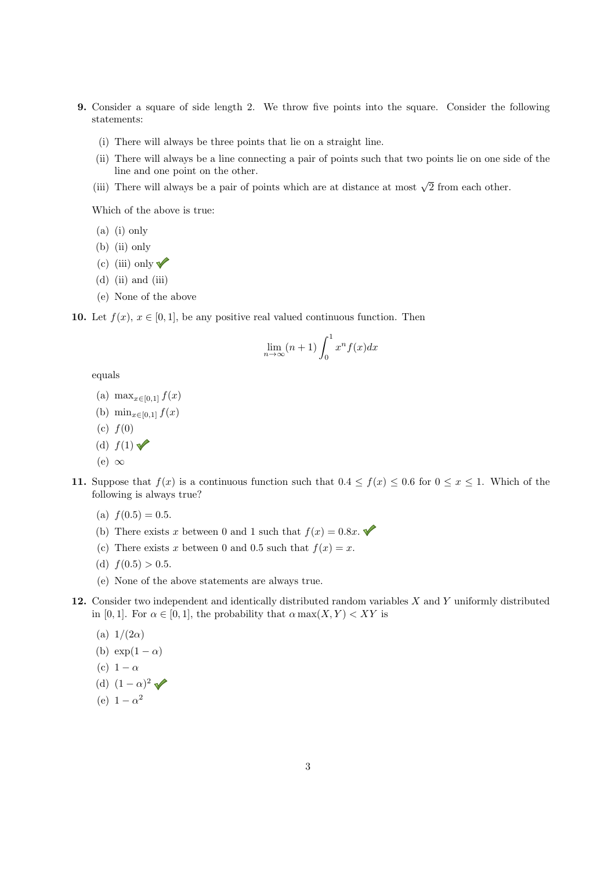- 9. Consider a square of side length 2. We throw five points into the square. Consider the following statements:
	- (i) There will always be three points that lie on a straight line.
	- (ii) There will always be a line connecting a pair of points such that two points lie on one side of the line and one point on the other.
	- (iii) There will always be a pair of points which are at distance at most  $\sqrt{2}$  from each other.

Which of the above is true:

- (a) (i) only
- (b) (ii) only
- (c) (iii) only  $\blacktriangledown$
- $(d)$  (ii) and (iii)
- (e) None of the above

10. Let  $f(x)$ ,  $x \in [0,1]$ , be any positive real valued continuous function. Then

$$
\lim_{n \to \infty} (n+1) \int_0^1 x^n f(x) dx
$$

equals

- (a)  $\max_{x \in [0,1]} f(x)$
- (b)  $\min_{x \in [0,1]} f(x)$
- (c) *f*(0)
- (d)  $f(1)$   $\blacktriangleright$
- (e)  $\infty$
- 11. Suppose that  $f(x)$  is a continuous function such that  $0.4 \le f(x) \le 0.6$  for  $0 \le x \le 1$ . Which of the following is always true?
	- (a)  $f(0.5) = 0.5$ .
	- (b) There exists *x* between 0 and 1 such that  $f(x) = 0.8x$ .
	- (c) There exists *x* between 0 and 0.5 such that  $f(x) = x$ .
	- (d)  $f(0.5) > 0.5$ .
	- (e) None of the above statements are always true.
- 12. Consider two independent and identically distributed random variables *X* and *Y* uniformly distributed in [0, 1]. For  $\alpha \in [0,1]$ , the probability that  $\alpha \max(X, Y) < XY$  is
	- (a)  $1/(2\alpha)$
	- (b)  $\exp(1-\alpha)$
	- (c)  $1 \alpha$
	- (d)  $(1 \alpha)^2$
	- (e)  $1 \alpha^2$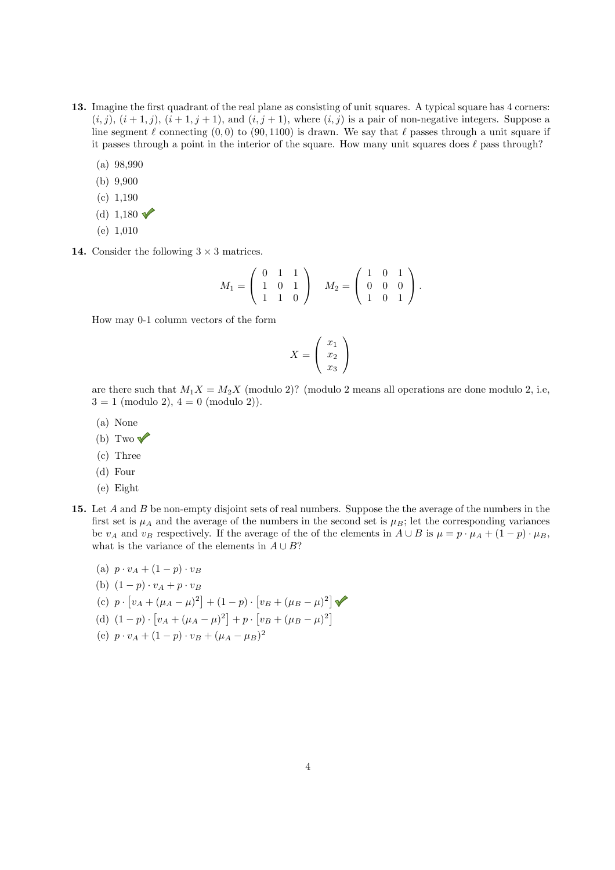- 13. Imagine the first quadrant of the real plane as consisting of unit squares. A typical square has 4 corners:  $(i,j)$ ,  $(i+1,j)$ ,  $(i+1,j+1)$ , and  $(i,j+1)$ , where  $(i,j)$  is a pair of non-negative integers. Suppose a line segment  $\ell$  connecting (0,0) to (90, 1100) is drawn. We say that  $\ell$  passes through a unit square if it passes through a point in the interior of the square. How many unit squares does  $\ell$  pass through?
	- (a) 98,990
	- (b) 9,900
	- (c) 1,190
	- (d) 1,180  $\sqrt{ }$
	- (e) 1,010
- 14. Consider the following  $3 \times 3$  matrices.

$$
M_1 = \left(\begin{array}{rrr} 0 & 1 & 1 \\ 1 & 0 & 1 \\ 1 & 1 & 0 \end{array}\right) \quad M_2 = \left(\begin{array}{rrr} 1 & 0 & 1 \\ 0 & 0 & 0 \\ 1 & 0 & 1 \end{array}\right).
$$

How may 0-1 column vectors of the form

$$
X = \left(\begin{array}{c} x_1 \\ x_2 \\ x_3 \end{array}\right)
$$

are there such that  $M_1X = M_2X$  (modulo 2)? (modulo 2 means all operations are done modulo 2, i.e,  $3 = 1 \pmod{2}$ ,  $4 = 0 \pmod{2}$ .

- (a) None
- (b) Two  $\sqrt{\ }$
- (c) Three
- (d) Four
- (e) Eight
- 15. Let *A* and *B* be non-empty disjoint sets of real numbers. Suppose the the average of the numbers in the first set is  $\mu_A$  and the average of the numbers in the second set is  $\mu_B$ ; let the corresponding variances be *v<sub>A</sub>* and *v<sub>B</sub>* respectively. If the average of the of the elements in  $A \cup B$  is  $\mu = p \cdot \mu_A + (1 - p) \cdot \mu_B$ , what is the variance of the elements in  $A \cup B$ ?
	- (a)  $p \cdot v_A + (1-p) \cdot v_B$
	- (b)  $(1 p) \cdot v_A + p \cdot v_B$
	- $(v)$   $p \cdot [v_A + (\mu_A \mu)^2] + (1 p) \cdot [v_B + (\mu_B \mu)^2]$
	- $(d)$   $(1-p) \cdot [v_A + (\mu_A \mu)^2] + p \cdot [v_B + (\mu_B \mu)^2]$
	- (e)  $p \cdot v_A + (1-p) \cdot v_B + (\mu_A \mu_B)^2$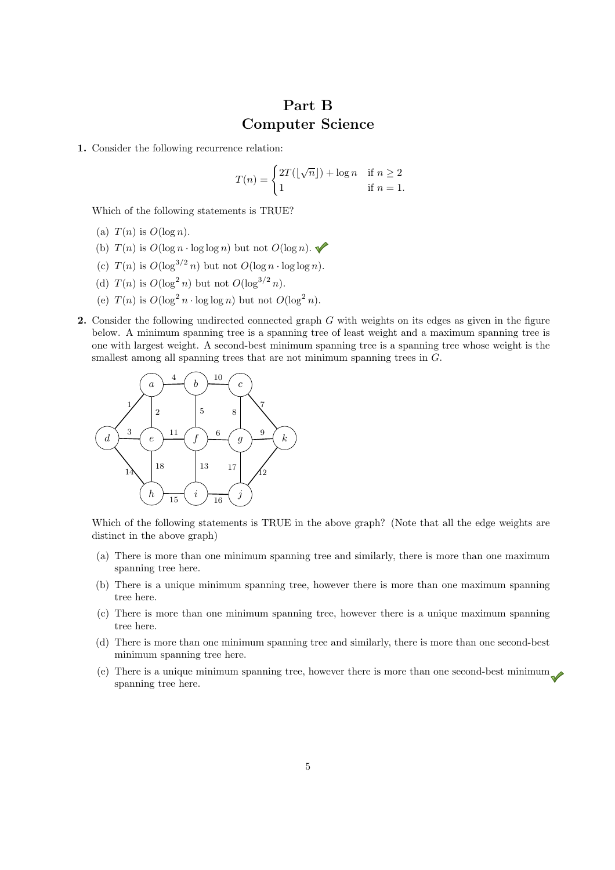### Part B Computer Science

1. Consider the following recurrence relation:

$$
T(n) = \begin{cases} 2T(\lfloor \sqrt{n} \rfloor) + \log n & \text{if } n \ge 2 \\ 1 & \text{if } n = 1. \end{cases}
$$

Which of the following statements is TRUE?

- (a)  $T(n)$  is  $O(\log n)$ .
- (b)  $T(n)$  is  $O(\log n \cdot \log \log n)$  but not  $O(\log n)$ .
- (c)  $T(n)$  is  $O(\log^{3/2} n)$  but not  $O(\log n \cdot \log \log n)$ .
- (d)  $T(n)$  is  $O(\log^2 n)$  but not  $O(\log^{3/2} n)$ .
- (e)  $T(n)$  is  $O(\log^2 n \cdot \log \log n)$  but not  $O(\log^2 n)$ .
- 2. Consider the following undirected connected graph *G* with weights on its edges as given in the figure below. A minimum spanning tree is a spanning tree of least weight and a maximum spanning tree is one with largest weight. A second-best minimum spanning tree is a spanning tree whose weight is the smallest among all spanning trees that are not minimum spanning trees in *G*.



Which of the following statements is TRUE in the above graph? (Note that all the edge weights are distinct in the above graph)

- (a) There is more than one minimum spanning tree and similarly, there is more than one maximum spanning tree here.
- (b) There is a unique minimum spanning tree, however there is more than one maximum spanning tree here.
- (c) There is more than one minimum spanning tree, however there is a unique maximum spanning tree here.
- (d) There is more than one minimum spanning tree and similarly, there is more than one second-best minimum spanning tree here.
- (e) There is a unique minimum spanning tree, however there is more than one second-best minimum spanning tree here.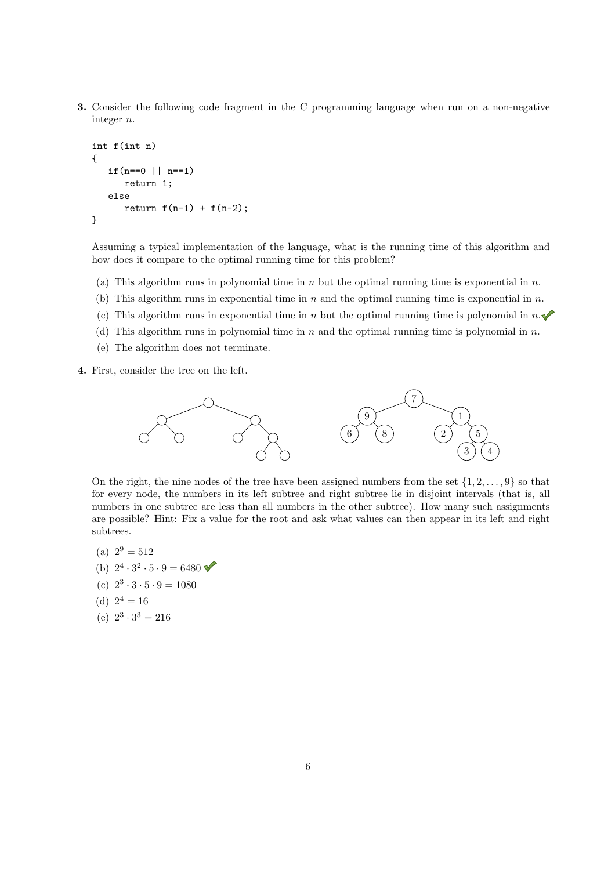3. Consider the following code fragment in the C programming language when run on a non-negative integer *n*.

```
int f(int n)
{
   if(n == 0 || n == 1)return 1;
   else
      return f(n-1) + f(n-2);
}
```
Assuming a typical implementation of the language, what is the running time of this algorithm and how does it compare to the optimal running time for this problem?

- (a) This algorithm runs in polynomial time in *n* but the optimal running time is exponential in *n*.
- (b) This algorithm runs in exponential time in *n* and the optimal running time is exponential in *n*.
- (c) This algorithm runs in exponential time in *n* but the optimal running time is polynomial in  $n.\blacktriangleright$
- (d) This algorithm runs in polynomial time in *n* and the optimal running time is polynomial in *n*.
- (e) The algorithm does not terminate.
- 4. First, consider the tree on the left.



On the right, the nine nodes of the tree have been assigned numbers from the set  $\{1, 2, \ldots, 9\}$  so that for every node, the numbers in its left subtree and right subtree lie in disjoint intervals (that is, all numbers in one subtree are less than all numbers in the other subtree). How many such assignments are possible? Hint: Fix a value for the root and ask what values can then appear in its left and right subtrees.

- (a)  $2^9 = 512$
- (b)  $2^4 \cdot 3^2 \cdot 5 \cdot 9 = 6480$
- (c)  $2^3 \cdot 3 \cdot 5 \cdot 9 = 1080$
- (d)  $2^4 = 16$
- (e)  $2^3 \cdot 3^3 = 216$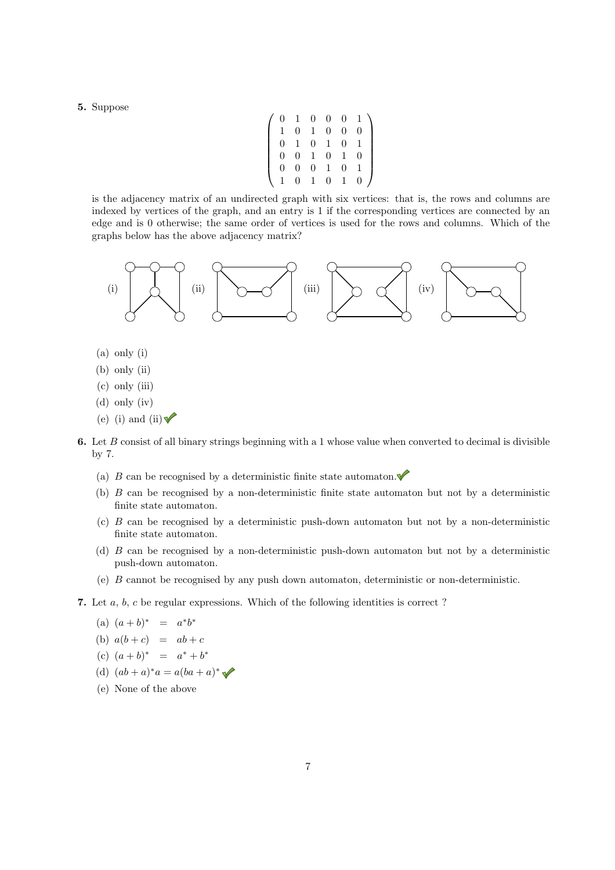5. Suppose

$$
\left(\begin{array}{cccccc} 0 & 1 & 0 & 0 & 0 & 1 \\ 1 & 0 & 1 & 0 & 0 & 0 \\ 0 & 1 & 0 & 1 & 0 & 1 \\ 0 & 0 & 1 & 0 & 1 & 0 \\ 0 & 0 & 0 & 1 & 0 & 1 \\ 1 & 0 & 1 & 0 & 1 & 0 \end{array}\right)
$$

is the adjacency matrix of an undirected graph with six vertices: that is, the rows and columns are indexed by vertices of the graph, and an entry is 1 if the corresponding vertices are connected by an edge and is 0 otherwise; the same order of vertices is used for the rows and columns. Which of the graphs below has the above adjacency matrix?



- (a) only (i)
- (b) only (ii)
- (c) only (iii)
- (d) only (iv)
- (e) (i) and (ii)  $\sqrt{\ }$
- 6. Let *B* consist of all binary strings beginning with a 1 whose value when converted to decimal is divisible by 7.
	- (a)  $B$  can be recognised by a deterministic finite state automaton.
	- (b) *B* can be recognised by a non-deterministic finite state automaton but not by a deterministic finite state automaton.
	- (c) *B* can be recognised by a deterministic push-down automaton but not by a non-deterministic finite state automaton.
	- (d) *B* can be recognised by a non-deterministic push-down automaton but not by a deterministic push-down automaton.
	- (e) *B* cannot be recognised by any push down automaton, deterministic or non-deterministic.
- 7. Let *a*, *b*, *c* be regular expressions. Which of the following identities is correct ?

(a) 
$$
(a + b)^* = a^*b^*
$$

- (b)  $a(b+c) = ab+c$
- $(c) (a + b)^{*} = a^{*} + b^{*}$
- (d)  $(ab + a)^*a = a(ba + a)^*$
- (e) None of the above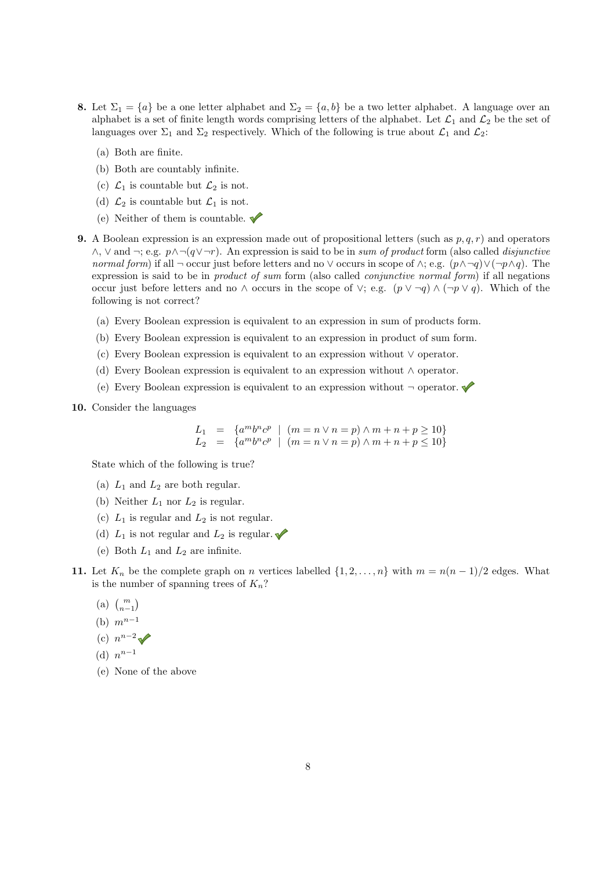- 8. Let  $\Sigma_1 = \{a\}$  be a one letter alphabet and  $\Sigma_2 = \{a, b\}$  be a two letter alphabet. A language over an alphabet is a set of finite length words comprising letters of the alphabet. Let  $\mathcal{L}_1$  and  $\mathcal{L}_2$  be the set of languages over  $\Sigma_1$  and  $\Sigma_2$  respectively. Which of the following is true about  $\mathcal{L}_1$  and  $\mathcal{L}_2$ :
	- (a) Both are finite.
	- (b) Both are countably infinite.
	- (c)  $\mathcal{L}_1$  is countable but  $\mathcal{L}_2$  is not.
	- (d)  $\mathcal{L}_2$  is countable but  $\mathcal{L}_1$  is not.
	- (e) Neither of them is countable.  $\blacklozenge$
- **9.** A Boolean expression is an expression made out of propositional letters (such as  $p, q, r$ ) and operators  $\wedge$ ,  $\vee$  and  $\neg$ ; e.g.  $p \wedge \neg (q \vee \neg r)$ . An expression is said to be in *sum of product* form (also called *disjunctive normal form*) if all  $\neg$  occur just before letters and no  $\vee$  occurs in scope of  $\wedge$ ; e.g.  $(p \wedge \neg q) \vee (\neg p \wedge q)$ . The expression is said to be in *product of sum* form (also called *conjunctive normal form*) if all negations occur just before letters and no  $\wedge$  occurs in the scope of  $\vee$ ; e.g.  $(p \vee \neg q) \wedge (\neg p \vee q)$ . Which of the following is not correct?
	- (a) Every Boolean expression is equivalent to an expression in sum of products form.
	- (b) Every Boolean expression is equivalent to an expression in product of sum form.
	- (c) Every Boolean expression is equivalent to an expression without  $\vee$  operator.
	- (d) Every Boolean expression is equivalent to an expression without  $\wedge$  operator.
	- (e) Every Boolean expression is equivalent to an expression without  $\neg$  operator.
- 10. Consider the languages

$$
L_1 = \{a^m b^n c^p \mid (m = n \lor n = p) \land m + n + p \ge 10\}
$$
  

$$
L_2 = \{a^m b^n c^p \mid (m = n \lor n = p) \land m + n + p \le 10\}
$$

State which of the following is true?

- (a)  $L_1$  and  $L_2$  are both regular.
- (b) Neither  $L_1$  nor  $L_2$  is regular.
- (c)  $L_1$  is regular and  $L_2$  is not regular.
- (d)  $L_1$  is not regular and  $L_2$  is regular.
- (e) Both  $L_1$  and  $L_2$  are infinite.
- 11. Let  $K_n$  be the complete graph on *n* vertices labelled  $\{1, 2, \ldots, n\}$  with  $m = n(n-1)/2$  edges. What is the number of spanning trees of  $K_n$ ?
	- (a)  $\binom{m}{n-1}$
	- (b)  $m^{n-1}$
	- (c)  $n^{n-2} \sqrt{ }$

(d) 
$$
n^{n-1}
$$

(e) None of the above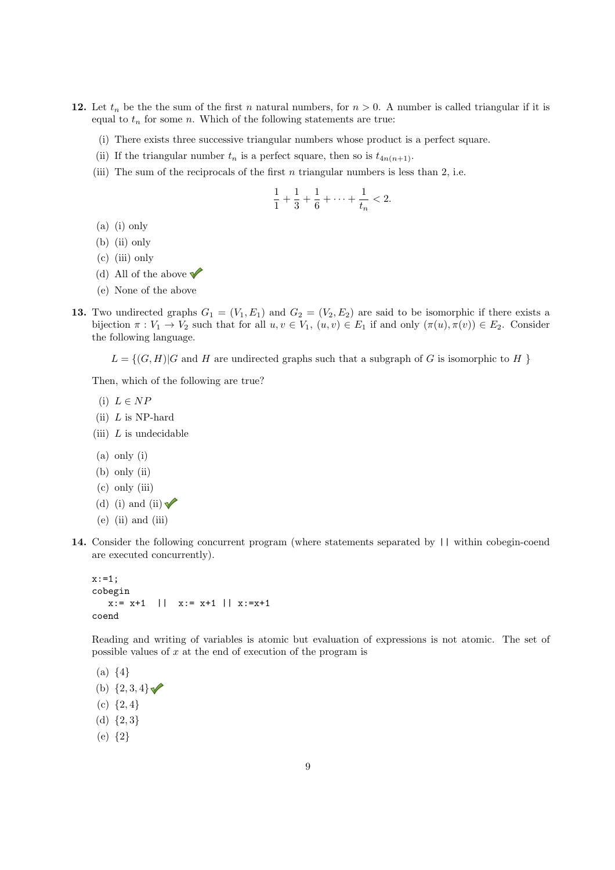- 12. Let  $t_n$  be the the sum of the first *n* natural numbers, for  $n > 0$ . A number is called triangular if it is equal to  $t_n$  for some *n*. Which of the following statements are true:
	- (i) There exists three successive triangular numbers whose product is a perfect square.
	- (ii) If the triangular number  $t_n$  is a perfect square, then so is  $t_{4n(n+1)}$ .
	- (iii) The sum of the reciprocals of the first *n* triangular numbers is less than 2, i.e.

$$
\frac{1}{1} + \frac{1}{3} + \frac{1}{6} + \dots + \frac{1}{t_n} < 2.
$$

- (a) (i) only
- (b) (ii) only
- (c) (iii) only
- (d) All of the above  $\blacktriangledown$
- (e) None of the above
- 13. Two undirected graphs  $G_1 = (V_1, E_1)$  and  $G_2 = (V_2, E_2)$  are said to be isomorphic if there exists a bijection  $\pi : V_1 \to V_2$  such that for all  $u, v \in V_1$ ,  $(u, v) \in E_1$  if and only  $(\pi(u), \pi(v)) \in E_2$ . Consider the following language.
	- $L = \{(G, H) | G$  and *H* are undirected graphs such that a subgraph of *G* is isomorphic to *H* }

Then, which of the following are true?

- $(i) L \in NP$
- (ii) *L* is NP-hard
- (iii) *L* is undecidable
- (a) only (i)
- (b) only (ii)
- (c) only (iii)
- (d) (i) and (ii)  $\blacktriangledown$
- $(e)$  (ii) and (iii)
- 14. Consider the following concurrent program (where statements separated by || within cobegin-coend are executed concurrently).

 $x := 1;$ cobegin  $x:= x+1$  ||  $x:= x+1$  ||  $x:=x+1$ coend

Reading and writing of variables is atomic but evaluation of expressions is not atomic. The set of possible values of *x* at the end of execution of the program is

(a) *{*4*}* (b)  $\{2, 3, 4\}$ (c) *{*2*,* 4*}* (d) *{*2*,* 3*}* (e) *{*2*}*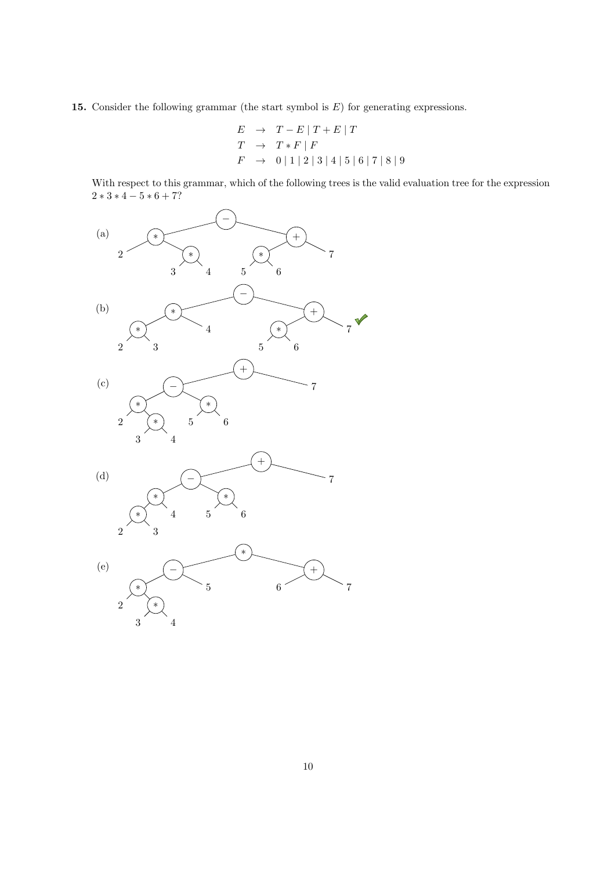15. Consider the following grammar (the start symbol is *E*) for generating expressions.

$$
E \rightarrow T - E | T + E | T
$$
  
\n
$$
T \rightarrow T * F | F
$$
  
\n
$$
F \rightarrow 0 | 1 | 2 | 3 | 4 | 5 | 6 | 7 | 8 | 9
$$

With respect to this grammar, which of the following trees is the valid evaluation tree for the expression  $2 * 3 * 4 - 5 * 6 + 7?$ 

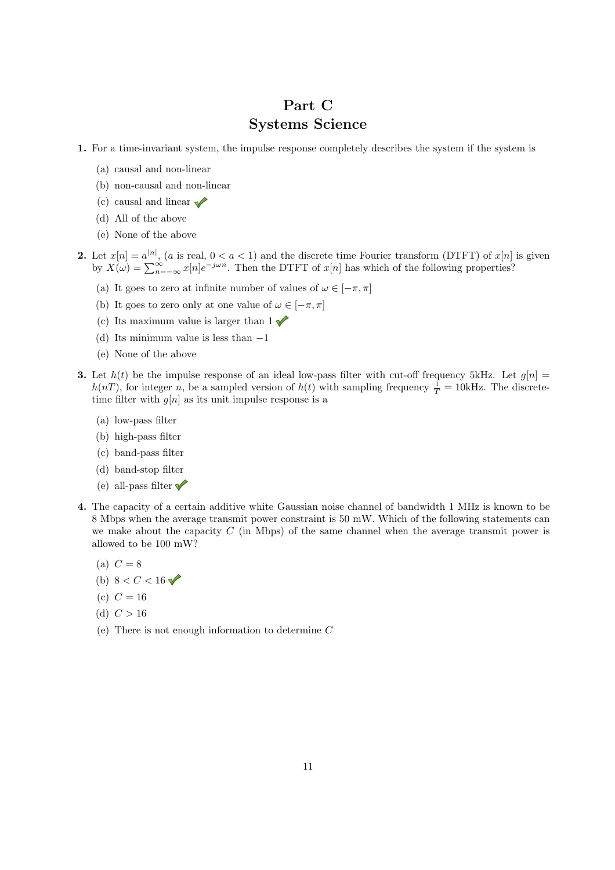## Part C Systems Science

- 1. For a time-invariant system, the impulse response completely describes the system if the system is
	- (a) causal and non-linear
	- (b) non-causal and non-linear
	- (c) causal and linear  $\sqrt{\phantom{a}}$
	- (d) All of the above
	- (e) None of the above
- 2. Let  $x[n] = a^{|n|}$ , (*a* is real,  $0 < a < 1$ ) and the discrete time Fourier transform (DTFT) of  $x[n]$  is given by  $X(\omega) = \sum_{n=-\infty}^{\infty} x[n]e^{-j\omega n}$ . Then the DTFT of  $x[n]$  has which of the following properties?
	- (a) It goes to zero at infinite number of values of  $\omega \in [-\pi, \pi]$
	- (b) It goes to zero only at one value of  $\omega \in [-\pi, \pi]$
	- (c) Its maximum value is larger than  $1 \sqrt{\ }$
	- (d) Its minimum value is less than  $-1$
	- (e) None of the above
- **3.** Let  $h(t)$  be the impulse response of an ideal low-pass filter with cut-off frequency 5kHz. Let  $g[n] =$  $h(n)$ , for integer *n*, be a sampled version of  $h(t)$  with sampling frequency  $\frac{1}{T} = 10$ kHz. The discretetime filter with  $g[n]$  as its unit impulse response is a
	- (a) low-pass filter
	- (b) high-pass filter
	- (c) band-pass filter
	- (d) band-stop filter
	- (e) all-pass filter  $\sqrt{\ }$
- 4. The capacity of a certain additive white Gaussian noise channel of bandwidth 1 MHz is known to be 8 Mbps when the average transmit power constraint is 50 mW. Which of the following statements can we make about the capacity *C* (in Mbps) of the same channel when the average transmit power is allowed to be 100 mW?
	- (a)  $C = 8$
	- (b)  $8 < C < 16$
	- (c)  $C = 16$
	- (d)  $C > 16$
	- (e) There is not enough information to determine *C*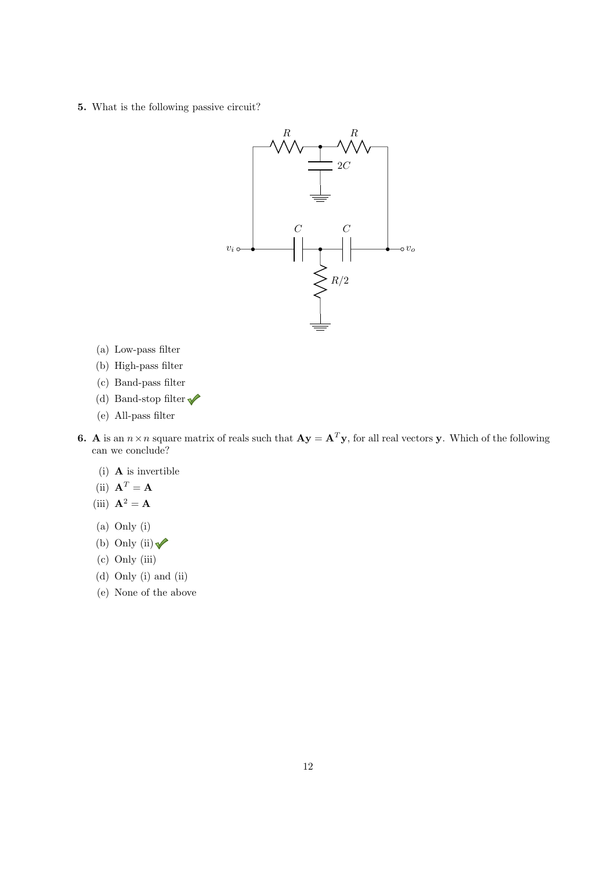5. What is the following passive circuit?



- (a) Low-pass filter
- (b) High-pass filter
- (c) Band-pass filter
- (d) Band-stop filter  $\sqrt{\phantom{a}}$
- (e) All-pass filter
- 6. A is an  $n \times n$  square matrix of reals such that  $\mathbf{A} \mathbf{y} = \mathbf{A}^T \mathbf{y}$ , for all real vectors **y**. Which of the following can we conclude?
	- (i) A is invertible
	- (ii)  $\mathbf{A}^T = \mathbf{A}$
	- (iii)  $\mathbf{A}^2 = \mathbf{A}$
	- (a) Only (i)
	- (b) Only (ii)  $\sqrt{\ }$
	- (c) Only (iii)
	- (d) Only (i) and (ii)
	- (e) None of the above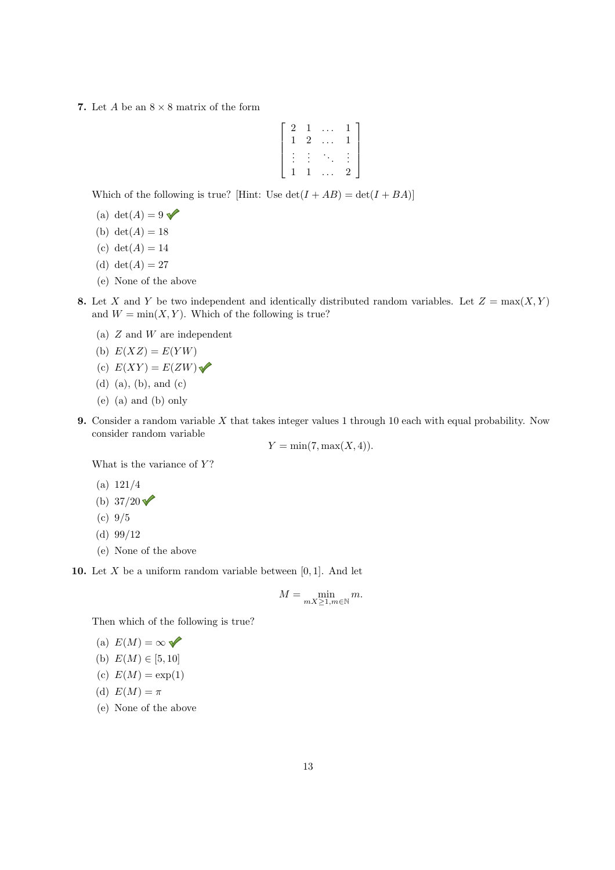7. Let  $A$  be an  $8 \times 8$  matrix of the form

$$
\left[\begin{array}{cccc}2&1&\ldots&1\\1&2&\ldots&1\\\vdots&\vdots&\ddots&\vdots\\1&1&\ldots&2\end{array}\right]
$$

Which of the following is true? [Hint: Use  $\det(I + AB) = \det(I + BA)$ ]

- (a) det( $A$ ) = 9
- (b)  $det(A) = 18$
- (c)  $det(A) = 14$
- (d) det( $A$ ) = 27
- (e) None of the above
- 8. Let *X* and *Y* be two independent and identically distributed random variables. Let  $Z = \max(X, Y)$ and  $W = min(X, Y)$ . Which of the following is true?
	- (a) *Z* and *W* are independent
	- (b)  $E(XZ) = E(YW)$
	- (c)  $E(XY) = E(ZW)$
	- (d) (a), (b), and (c)
	- (e) (a) and (b) only
- 9. Consider a random variable *X* that takes integer values 1 through 10 each with equal probability. Now consider random variable

 $Y = \min(7, \max(X, 4)).$ 

What is the variance of *Y* ?

- (a) 121*/*4
- (b)  $37/20$   $\checkmark$
- (c) 9*/*5
- (d) 99*/*12
- (e) None of the above

10. Let *X* be a uniform random variable between [0*,* 1]. And let

$$
M = \min_{mX \ge 1, m \in \mathbb{N}} m.
$$

Then which of the following is true?

(a) 
$$
E(M) = \infty
$$

(b) 
$$
E(M) \in [5, 10]
$$

(c)  $E(M) = \exp(1)$ 

(d) 
$$
E(M) = \pi
$$

(e) None of the above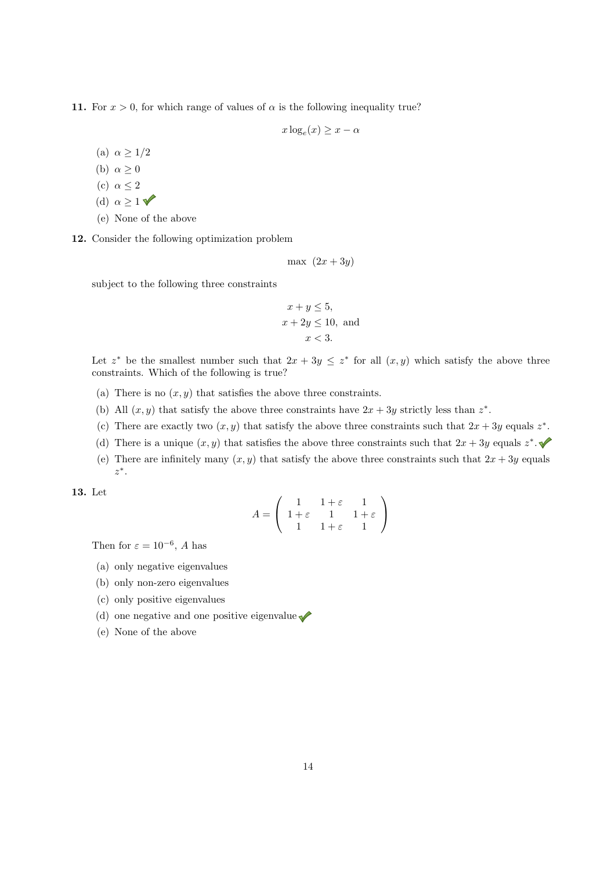11. For  $x > 0$ , for which range of values of  $\alpha$  is the following inequality true?

 $x \log_e(x) \geq x - \alpha$ 

- (a)  $\alpha \geq 1/2$
- (b)  $\alpha \geq 0$
- (c)  $\alpha \leq 2$
- (d)  $\alpha \geq 1$
- (e) None of the above

12. Consider the following optimization problem

max  $(2x + 3y)$ 

subject to the following three constraints

$$
x + y \le 5,
$$
  

$$
x + 2y \le 10, \text{ and}
$$
  

$$
x < 3.
$$

Let  $z^*$  be the smallest number such that  $2x + 3y \leq z^*$  for all  $(x, y)$  which satisfy the above three constraints. Which of the following is true?

- (a) There is no  $(x, y)$  that satisfies the above three constraints.
- (b) All  $(x, y)$  that satisfy the above three constraints have  $2x + 3y$  strictly less than  $z^*$ .
- (c) There are exactly two  $(x, y)$  that satisfy the above three constraints such that  $2x + 3y$  equals  $z^*$ .
- (d) There is a unique  $(x, y)$  that satisfies the above three constraints such that  $2x + 3y$  equals  $z^*$ .
- (e) There are infinitely many  $(x, y)$  that satisfy the above three constraints such that  $2x + 3y$  equals *z*⇤.

13. Let

$$
A = \left(\begin{array}{ccc} 1 & 1+\varepsilon & 1 \\ 1+\varepsilon & 1 & 1+\varepsilon \\ 1 & 1+\varepsilon & 1 \end{array}\right)
$$

Then for  $\varepsilon = 10^{-6}$ , *A* has

- (a) only negative eigenvalues
- (b) only non-zero eigenvalues
- (c) only positive eigenvalues
- (d) one negative and one positive eigenvalue
- (e) None of the above